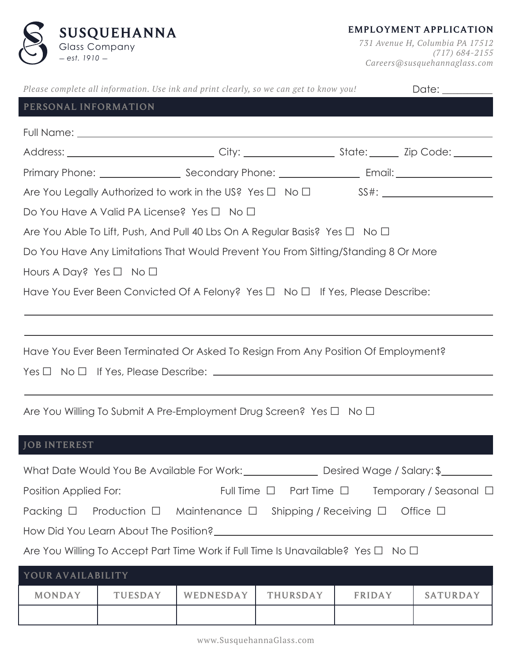

**EMPLOYMENT APPLICATION**

 *731 Avenue H, Columbia PA 17512 (717) 684-2155 Careers@susquehannaglass.com*

|                                                                                               |                | Please complete all information. Use ink and print clearly, so we can get to know you! |                 |               | Date: __________                                                     |  |  |
|-----------------------------------------------------------------------------------------------|----------------|----------------------------------------------------------------------------------------|-----------------|---------------|----------------------------------------------------------------------|--|--|
| PERSONAL INFORMATION                                                                          |                |                                                                                        |                 |               |                                                                      |  |  |
|                                                                                               |                |                                                                                        |                 |               |                                                                      |  |  |
|                                                                                               |                |                                                                                        |                 |               |                                                                      |  |  |
|                                                                                               |                |                                                                                        |                 |               |                                                                      |  |  |
|                                                                                               |                |                                                                                        |                 |               |                                                                      |  |  |
| Do You Have A Valid PA License? Yes $\Box$ No $\Box$                                          |                |                                                                                        |                 |               |                                                                      |  |  |
|                                                                                               |                | Are You Able To Lift, Push, And Pull 40 Lbs On A Regular Basis? Yes $\Box$ No $\Box$   |                 |               |                                                                      |  |  |
|                                                                                               |                | Do You Have Any Limitations That Would Prevent You From Sitting/Standing 8 Or More     |                 |               |                                                                      |  |  |
| Hours A Day? Yes $\Box$ No $\Box$                                                             |                |                                                                                        |                 |               |                                                                      |  |  |
| Have You Ever Been Convicted Of A Felony? Yes $\Box$ No $\Box$ If Yes, Please Describe:       |                |                                                                                        |                 |               |                                                                      |  |  |
|                                                                                               |                |                                                                                        |                 |               |                                                                      |  |  |
|                                                                                               |                |                                                                                        |                 |               |                                                                      |  |  |
|                                                                                               |                | Have You Ever Been Terminated Or Asked To Resign From Any Position Of Employment?      |                 |               |                                                                      |  |  |
|                                                                                               |                |                                                                                        |                 |               |                                                                      |  |  |
|                                                                                               |                |                                                                                        |                 |               |                                                                      |  |  |
|                                                                                               |                | Are You Willing To Submit A Pre-Employment Drug Screen? Yes $\Box$ No $\Box$           |                 |               |                                                                      |  |  |
|                                                                                               |                |                                                                                        |                 |               |                                                                      |  |  |
| <b>JOB INTEREST</b>                                                                           |                |                                                                                        |                 |               |                                                                      |  |  |
|                                                                                               |                |                                                                                        |                 |               | What Date Would You Be Available For Work: Desired Wage / Salary: \$ |  |  |
| Full Time $\Box$ Part Time $\Box$ Temporary / Seasonal $\Box$<br>Position Applied For:        |                |                                                                                        |                 |               |                                                                      |  |  |
| Packing $\Box$ Production $\Box$ Maintenance $\Box$ Shipping / Receiving $\Box$ Office $\Box$ |                |                                                                                        |                 |               |                                                                      |  |  |
|                                                                                               |                |                                                                                        |                 |               |                                                                      |  |  |
| Are You Willing To Accept Part Time Work if Full Time Is Unavailable? Yes $\Box$ No $\Box$    |                |                                                                                        |                 |               |                                                                      |  |  |
| YOUR AVAILABILITY                                                                             |                |                                                                                        |                 |               |                                                                      |  |  |
| <b>MONDAY</b>                                                                                 | <b>TUESDAY</b> | WEDNESDAY                                                                              | <b>THURSDAY</b> | <b>FRIDAY</b> | <b>SATURDAY</b>                                                      |  |  |
|                                                                                               |                |                                                                                        |                 |               |                                                                      |  |  |
|                                                                                               |                |                                                                                        |                 |               |                                                                      |  |  |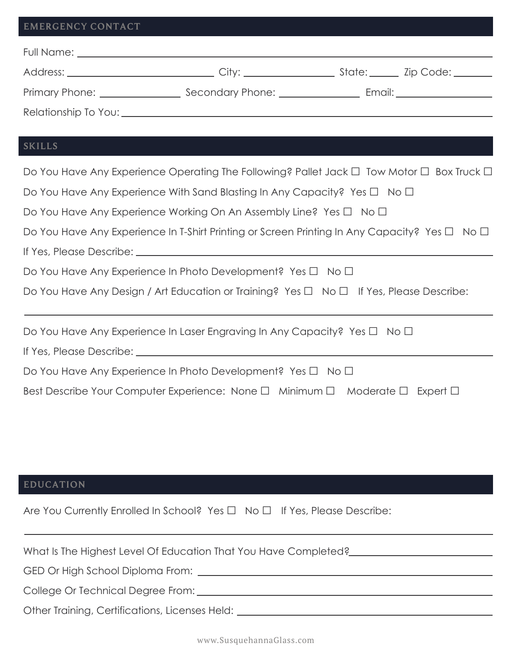#### **EMERGENCY CONTACT**

| Full Name: The control of the control of the control of the control of the control of the control of the control of the control of the control of the control of the control of the control of the control of the control of t |                                              |                                                                                                                                                                                                                                |
|--------------------------------------------------------------------------------------------------------------------------------------------------------------------------------------------------------------------------------|----------------------------------------------|--------------------------------------------------------------------------------------------------------------------------------------------------------------------------------------------------------------------------------|
| Address: _________________________                                                                                                                                                                                             |                                              | State: _____ Zip Code: ______                                                                                                                                                                                                  |
|                                                                                                                                                                                                                                | Secondary Phone: <u>____________________</u> | Email: Email: Album and the state of the state of the state of the state of the state of the state of the state of the state of the state of the state of the state of the state of the state of the state of the state of the |
|                                                                                                                                                                                                                                |                                              |                                                                                                                                                                                                                                |

# **SKILLS**

| Do You Have Any Experience Operating The Following? Pallet Jack $\Box$ Tow Motor $\Box$ Box Truck $\Box$ |
|----------------------------------------------------------------------------------------------------------|
| Do You Have Any Experience With Sand Blasting In Any Capacity? Yes $\Box$ No $\Box$                      |
| Do You Have Any Experience Working On An Assembly Line? Yes $\Box$ No $\Box$                             |
| Do You Have Any Experience In T-Shirt Printing or Screen Printing In Any Capacity? Yes $\Box$ No $\Box$  |
|                                                                                                          |
| Do You Have Any Experience In Photo Development? Yes $\Box$ No $\Box$                                    |
| Do You Have Any Design / Art Education or Training? Yes □ No □ If Yes, Please Describe:                  |
| Do You Have Any Experience In Laser Engraving In Any Capacity? Yes □ No □                                |
|                                                                                                          |
| Do You Have Any Experience In Photo Development? Yes $\Box$ No $\Box$                                    |
| Best Describe Your Computer Experience: None $\Box$ Minimum $\Box$ Moderate $\Box$ Expert $\Box$         |
|                                                                                                          |

# **EDUCATION**

Are You Currently Enrolled In School? Yes □ No □ If Yes, Please Describe:

| What Is The Highest Level Of Education That You Have Completed? |
|-----------------------------------------------------------------|
|                                                                 |
| College Or Technical Degree From:                               |
| Other Training, Certifications, Licenses Held:                  |